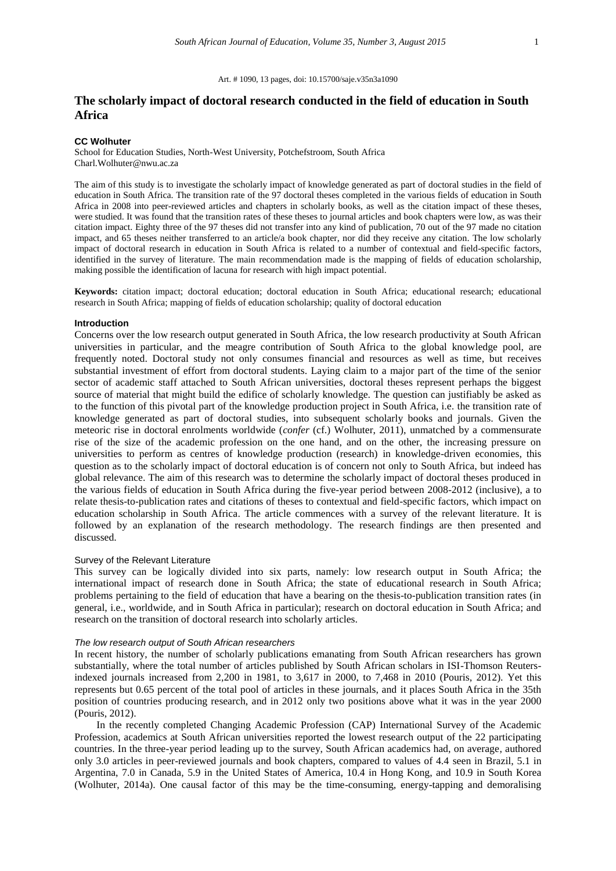#### Art. # 1090, 13 pages, doi: 10.15700/saje.v35n3a1090

# **The scholarly impact of doctoral research conducted in the field of education in South Africa**

#### **CC Wolhuter**

School for Education Studies, North-West University, Potchefstroom, South Africa Charl.Wolhuter@nwu.ac.za

The aim of this study is to investigate the scholarly impact of knowledge generated as part of doctoral studies in the field of education in South Africa. The transition rate of the 97 doctoral theses completed in the various fields of education in South Africa in 2008 into peer-reviewed articles and chapters in scholarly books, as well as the citation impact of these theses, were studied. It was found that the transition rates of these theses to journal articles and book chapters were low, as was their citation impact. Eighty three of the 97 theses did not transfer into any kind of publication, 70 out of the 97 made no citation impact, and 65 theses neither transferred to an article/a book chapter, nor did they receive any citation. The low scholarly impact of doctoral research in education in South Africa is related to a number of contextual and field-specific factors, identified in the survey of literature. The main recommendation made is the mapping of fields of education scholarship, making possible the identification of lacuna for research with high impact potential.

**Keywords:** citation impact; doctoral education; doctoral education in South Africa; educational research; educational research in South Africa; mapping of fields of education scholarship; quality of doctoral education

#### **Introduction**

Concerns over the low research output generated in South Africa, the low research productivity at South African universities in particular, and the meagre contribution of South Africa to the global knowledge pool, are frequently noted. Doctoral study not only consumes financial and resources as well as time, but receives substantial investment of effort from doctoral students. Laying claim to a major part of the time of the senior sector of academic staff attached to South African universities, doctoral theses represent perhaps the biggest source of material that might build the edifice of scholarly knowledge. The question can justifiably be asked as to the function of this pivotal part of the knowledge production project in South Africa, i.e. the transition rate of knowledge generated as part of doctoral studies, into subsequent scholarly books and journals. Given the meteoric rise in doctoral enrolments worldwide (*confer* (cf.) Wolhuter, 2011), unmatched by a commensurate rise of the size of the academic profession on the one hand, and on the other, the increasing pressure on universities to perform as centres of knowledge production (research) in knowledge-driven economies, this question as to the scholarly impact of doctoral education is of concern not only to South Africa, but indeed has global relevance. The aim of this research was to determine the scholarly impact of doctoral theses produced in the various fields of education in South Africa during the five-year period between 2008-2012 (inclusive), a to relate thesis-to-publication rates and citations of theses to contextual and field-specific factors, which impact on education scholarship in South Africa. The article commences with a survey of the relevant literature. It is followed by an explanation of the research methodology. The research findings are then presented and discussed.

### Survey of the Relevant Literature

This survey can be logically divided into six parts, namely: low research output in South Africa; the international impact of research done in South Africa; the state of educational research in South Africa; problems pertaining to the field of education that have a bearing on the thesis-to-publication transition rates (in general, i.e., worldwide, and in South Africa in particular); research on doctoral education in South Africa; and research on the transition of doctoral research into scholarly articles.

## *The low research output of South African researchers*

In recent history, the number of scholarly publications emanating from South African researchers has grown substantially, where the total number of articles published by South African scholars in ISI-Thomson Reutersindexed journals increased from 2,200 in 1981, to 3,617 in 2000, to 7,468 in 2010 (Pouris, 2012). Yet this represents but 0.65 percent of the total pool of articles in these journals, and it places South Africa in the 35th position of countries producing research, and in 2012 only two positions above what it was in the year 2000 (Pouris, 2012).

In the recently completed Changing Academic Profession (CAP) International Survey of the Academic Profession, academics at South African universities reported the lowest research output of the 22 participating countries. In the three-year period leading up to the survey, South African academics had, on average, authored only 3.0 articles in peer-reviewed journals and book chapters, compared to values of 4.4 seen in Brazil, 5.1 in Argentina, 7.0 in Canada, 5.9 in the United States of America, 10.4 in Hong Kong, and 10.9 in South Korea (Wolhuter, 2014a). One causal factor of this may be the time-consuming, energy-tapping and demoralising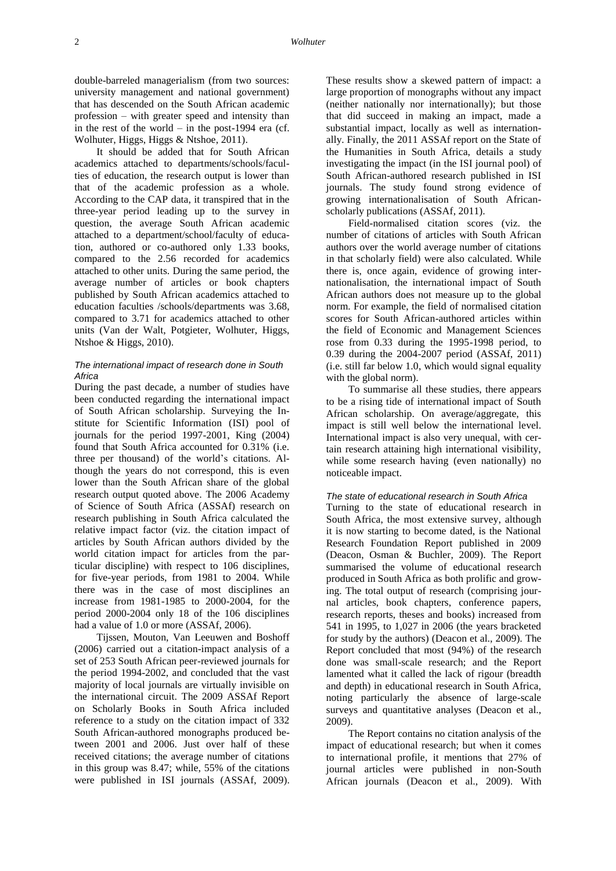double-barreled managerialism (from two sources: university management and national government) that has descended on the South African academic profession – with greater speed and intensity than in the rest of the world  $-$  in the post-1994 era (cf. Wolhuter, Higgs, Higgs & Ntshoe, 2011).

It should be added that for South African academics attached to departments/schools/faculties of education, the research output is lower than that of the academic profession as a whole. According to the CAP data, it transpired that in the three-year period leading up to the survey in question, the average South African academic attached to a department/school/faculty of education, authored or co-authored only 1.33 books, compared to the 2.56 recorded for academics attached to other units. During the same period, the average number of articles or book chapters published by South African academics attached to education faculties /schools/departments was 3.68, compared to 3.71 for academics attached to other units (Van der Walt, Potgieter, Wolhuter, Higgs, Ntshoe & Higgs, 2010).

## *The international impact of research done in South Africa*

During the past decade, a number of studies have been conducted regarding the international impact of South African scholarship. Surveying the Institute for Scientific Information (ISI) pool of journals for the period 1997-2001, King (2004) found that South Africa accounted for 0.31% (i.e. three per thousand) of the world's citations. Although the years do not correspond, this is even lower than the South African share of the global research output quoted above. The 2006 Academy of Science of South Africa (ASSAf) research on research publishing in South Africa calculated the relative impact factor (viz. the citation impact of articles by South African authors divided by the world citation impact for articles from the particular discipline) with respect to 106 disciplines, for five-year periods, from 1981 to 2004. While there was in the case of most disciplines an increase from 1981-1985 to 2000-2004, for the period 2000-2004 only 18 of the 106 disciplines had a value of 1.0 or more (ASSAf, 2006).

Tijssen, Mouton, Van Leeuwen and Boshoff (2006) carried out a citation-impact analysis of a set of 253 South African peer-reviewed journals for the period 1994-2002, and concluded that the vast majority of local journals are virtually invisible on the international circuit. The 2009 ASSAf Report on Scholarly Books in South Africa included reference to a study on the citation impact of 332 South African-authored monographs produced between 2001 and 2006. Just over half of these received citations; the average number of citations in this group was 8.47; while, 55% of the citations were published in ISI journals (ASSAf, 2009).

These results show a skewed pattern of impact: a large proportion of monographs without any impact (neither nationally nor internationally); but those that did succeed in making an impact, made a substantial impact, locally as well as internationally. Finally, the 2011 ASSAf report on the State of the Humanities in South Africa, details a study investigating the impact (in the ISI journal pool) of South African-authored research published in ISI journals. The study found strong evidence of growing internationalisation of South Africanscholarly publications (ASSAf, 2011).

Field-normalised citation scores (viz. the number of citations of articles with South African authors over the world average number of citations in that scholarly field) were also calculated. While there is, once again, evidence of growing internationalisation, the international impact of South African authors does not measure up to the global norm. For example, the field of normalised citation scores for South African-authored articles within the field of Economic and Management Sciences rose from 0.33 during the 1995-1998 period, to 0.39 during the 2004-2007 period (ASSAf, 2011) (i.e. still far below 1.0, which would signal equality with the global norm).

To summarise all these studies, there appears to be a rising tide of international impact of South African scholarship. On average/aggregate, this impact is still well below the international level. International impact is also very unequal, with certain research attaining high international visibility, while some research having (even nationally) no noticeable impact.

## *The state of educational research in South Africa*

Turning to the state of educational research in South Africa, the most extensive survey, although it is now starting to become dated, is the National Research Foundation Report published in 2009 (Deacon, Osman & Buchler, 2009). The Report summarised the volume of educational research produced in South Africa as both prolific and growing. The total output of research (comprising journal articles, book chapters, conference papers, research reports, theses and books) increased from 541 in 1995, to 1,027 in 2006 (the years bracketed for study by the authors) (Deacon et al., 2009). The Report concluded that most (94%) of the research done was small-scale research; and the Report lamented what it called the lack of rigour (breadth and depth) in educational research in South Africa, noting particularly the absence of large-scale surveys and quantitative analyses (Deacon et al., 2009).

The Report contains no citation analysis of the impact of educational research; but when it comes to international profile, it mentions that 27% of journal articles were published in non-South African journals (Deacon et al., 2009). With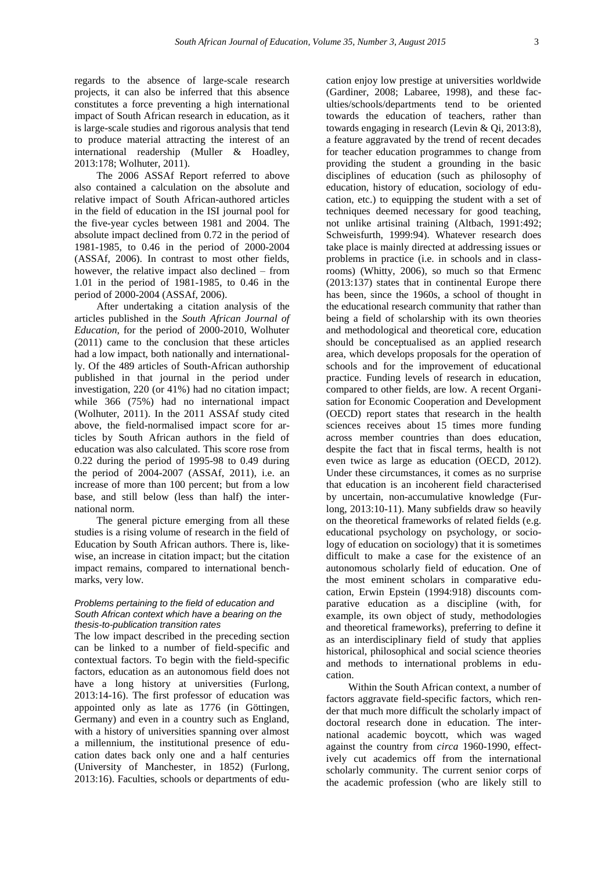regards to the absence of large-scale research projects, it can also be inferred that this absence constitutes a force preventing a high international impact of South African research in education, as it is large-scale studies and rigorous analysis that tend to produce material attracting the interest of an international readership (Muller & Hoadley, 2013:178; Wolhuter, 2011).

The 2006 ASSAf Report referred to above also contained a calculation on the absolute and relative impact of South African-authored articles in the field of education in the ISI journal pool for the five-year cycles between 1981 and 2004. The absolute impact declined from 0.72 in the period of 1981-1985, to 0.46 in the period of 2000-2004 (ASSAf, 2006). In contrast to most other fields, however, the relative impact also declined – from 1.01 in the period of 1981-1985, to 0.46 in the period of 2000-2004 (ASSAf, 2006).

After undertaking a citation analysis of the articles published in the *South African Journal of Education*, for the period of 2000-2010, Wolhuter (2011) came to the conclusion that these articles had a low impact, both nationally and internationally. Of the 489 articles of South-African authorship published in that journal in the period under investigation, 220 (or 41%) had no citation impact; while 366 (75%) had no international impact (Wolhuter, 2011). In the 2011 ASSAf study cited above, the field-normalised impact score for articles by South African authors in the field of education was also calculated. This score rose from 0.22 during the period of 1995-98 to 0.49 during the period of 2004-2007 (ASSAf, 2011), i.e. an increase of more than 100 percent; but from a low base, and still below (less than half) the international norm.

The general picture emerging from all these studies is a rising volume of research in the field of Education by South African authors. There is, likewise, an increase in citation impact; but the citation impact remains, compared to international benchmarks, very low.

#### *Problems pertaining to the field of education and South African context which have a bearing on the thesis-to-publication transition rates*

The low impact described in the preceding section can be linked to a number of field-specific and contextual factors. To begin with the field-specific factors, education as an autonomous field does not have a long history at universities (Furlong, 2013:14-16). The first professor of education was appointed only as late as 1776 (in Göttingen, Germany) and even in a country such as England, with a history of universities spanning over almost a millennium, the institutional presence of education dates back only one and a half centuries (University of Manchester, in 1852) (Furlong, 2013:16). Faculties, schools or departments of edu-

cation enjoy low prestige at universities worldwide (Gardiner, 2008; Labaree, 1998), and these faculties/schools/departments tend to be oriented towards the education of teachers, rather than towards engaging in research (Levin & Qi, 2013:8), a feature aggravated by the trend of recent decades for teacher education programmes to change from providing the student a grounding in the basic disciplines of education (such as philosophy of education, history of education, sociology of education, etc.) to equipping the student with a set of techniques deemed necessary for good teaching, not unlike artisinal training (Altbach, 1991:492; Schweisfurth, 1999:94). Whatever research does take place is mainly directed at addressing issues or problems in practice (i.e. in schools and in classrooms) (Whitty, 2006), so much so that Ermenc (2013:137) states that in continental Europe there has been, since the 1960s, a school of thought in the educational research community that rather than being a field of scholarship with its own theories and methodological and theoretical core, education should be conceptualised as an applied research area, which develops proposals for the operation of schools and for the improvement of educational practice. Funding levels of research in education, compared to other fields, are low. A recent Organisation for Economic Cooperation and Development (OECD) report states that research in the health sciences receives about 15 times more funding across member countries than does education, despite the fact that in fiscal terms, health is not even twice as large as education (OECD, 2012). Under these circumstances, it comes as no surprise that education is an incoherent field characterised by uncertain, non-accumulative knowledge (Furlong, 2013:10-11). Many subfields draw so heavily on the theoretical frameworks of related fields (e.g. educational psychology on psychology, or sociology of education on sociology) that it is sometimes difficult to make a case for the existence of an autonomous scholarly field of education. One of the most eminent scholars in comparative education, Erwin Epstein (1994:918) discounts comparative education as a discipline (with, for example, its own object of study, methodologies and theoretical frameworks), preferring to define it as an interdisciplinary field of study that applies historical, philosophical and social science theories and methods to international problems in education.

Within the South African context, a number of factors aggravate field-specific factors, which render that much more difficult the scholarly impact of doctoral research done in education. The international academic boycott, which was waged against the country from *circa* 1960-1990, effectively cut academics off from the international scholarly community. The current senior corps of the academic profession (who are likely still to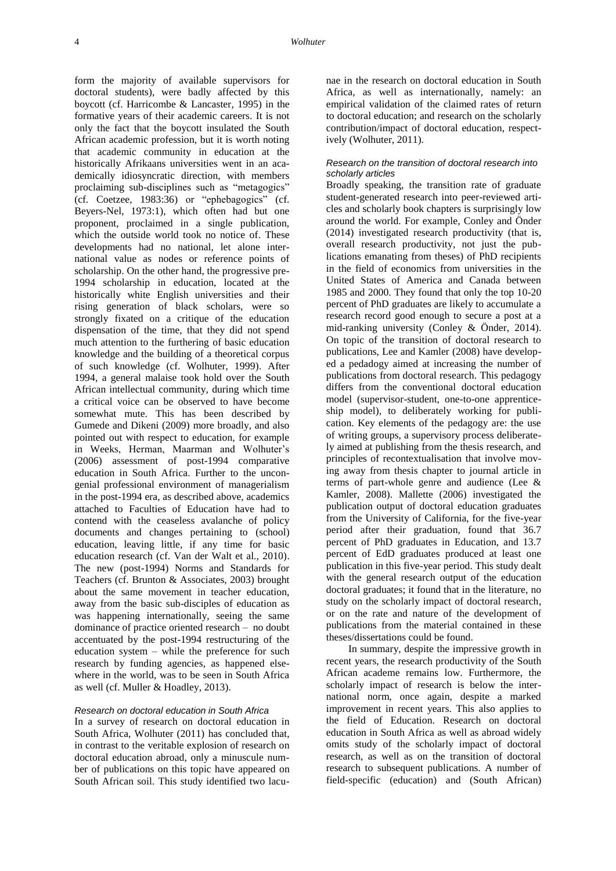form the majority of available supervisors for doctoral students), were badly affected by this boycott (cf. Harricombe & Lancaster, 1995) in the formative years of their academic careers. It is not only the fact that the boycott insulated the South African academic profession, but it is worth noting that academic community in education at the historically Afrikaans universities went in an academically idiosyncratic direction, with members proclaiming sub-disciplines such as "metagogics" (cf. Coetzee, 1983:36) or "ephebagogics" (cf. Beyers-Nel, 1973:1), which often had but one proponent, proclaimed in a single publication, which the outside world took no notice of. These developments had no national, let alone international value as nodes or reference points of scholarship. On the other hand, the progressive pre-1994 scholarship in education, located at the historically white English universities and their rising generation of black scholars, were so strongly fixated on a critique of the education dispensation of the time, that they did not spend much attention to the furthering of basic education knowledge and the building of a theoretical corpus of such knowledge (cf. Wolhuter, 1999). After 1994, a general malaise took hold over the South African intellectual community, during which time a critical voice can be observed to have become somewhat mute. This has been described by Gumede and Dikeni (2009) more broadly, and also pointed out with respect to education, for example in Weeks, Herman, Maarman and Wolhuter's (2006) assessment of post-1994 comparative education in South Africa. Further to the uncongenial professional environment of managerialism in the post-1994 era, as described above, academics attached to Faculties of Education have had to contend with the ceaseless avalanche of policy documents and changes pertaining to (school) education, leaving little, if any time for basic education research (cf. Van der Walt et al., 2010). The new (post-1994) Norms and Standards for Teachers (cf. Brunton & Associates, 2003) brought about the same movement in teacher education, away from the basic sub-disciples of education as was happening internationally, seeing the same dominance of practice oriented research – no doubt accentuated by the post-1994 restructuring of the education system – while the preference for such research by funding agencies, as happened elsewhere in the world, was to be seen in South Africa as well (cf. Muller & Hoadley, 2013).

#### *Research on doctoral education in South Africa*

In a survey of research on doctoral education in South Africa, Wolhuter (2011) has concluded that, in contrast to the veritable explosion of research on doctoral education abroad, only a minuscule number of publications on this topic have appeared on South African soil. This study identified two lacunae in the research on doctoral education in South Africa, as well as internationally, namely: an empirical validation of the claimed rates of return to doctoral education; and research on the scholarly contribution/impact of doctoral education, respectively (Wolhuter, 2011).

## *Research on the transition of doctoral research into scholarly articles*

Broadly speaking, the transition rate of graduate student-generated research into peer-reviewed articles and scholarly book chapters is surprisingly low around the world. For example, Conley and Önder (2014) investigated research productivity (that is, overall research productivity, not just the publications emanating from theses) of PhD recipients in the field of economics from universities in the United States of America and Canada between 1985 and 2000. They found that only the top 10-20 percent of PhD graduates are likely to accumulate a research record good enough to secure a post at a mid-ranking university (Conley & Önder, 2014). On topic of the transition of doctoral research to publications, Lee and Kamler (2008) have developed a pedadogy aimed at increasing the number of publications from doctoral research. This pedagogy differs from the conventional doctoral education model (supervisor-student, one-to-one apprenticeship model), to deliberately working for publication. Key elements of the pedagogy are: the use of writing groups, a supervisory process deliberately aimed at publishing from the thesis research, and principles of recontextualisation that involve moving away from thesis chapter to journal article in terms of part-whole genre and audience (Lee & Kamler, 2008). Mallette (2006) investigated the publication output of doctoral education graduates from the University of California, for the five-year period after their graduation, found that 36.7 percent of PhD graduates in Education, and 13.7 percent of EdD graduates produced at least one publication in this five-year period. This study dealt with the general research output of the education doctoral graduates; it found that in the literature, no study on the scholarly impact of doctoral research, or on the rate and nature of the development of publications from the material contained in these theses/dissertations could be found.

In summary, despite the impressive growth in recent years, the research productivity of the South African academe remains low. Furthermore, the scholarly impact of research is below the international norm, once again, despite a marked improvement in recent years. This also applies to the field of Education. Research on doctoral education in South Africa as well as abroad widely omits study of the scholarly impact of doctoral research, as well as on the transition of doctoral research to subsequent publications. A number of field-specific (education) and (South African)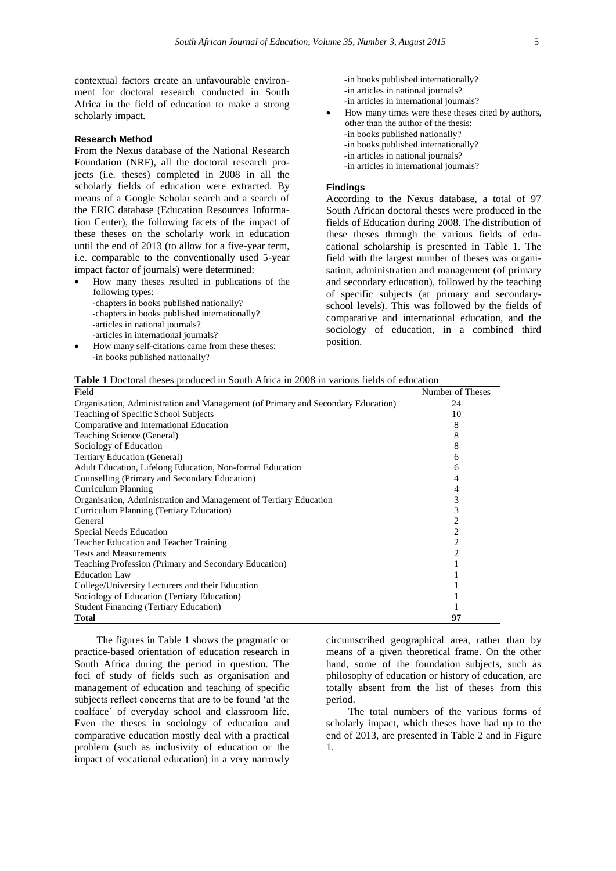contextual factors create an unfavourable environment for doctoral research conducted in South Africa in the field of education to make a strong scholarly impact.

#### **Research Method**

From the Nexus database of the National Research Foundation (NRF), all the doctoral research projects (i.e. theses) completed in 2008 in all the scholarly fields of education were extracted. By means of a Google Scholar search and a search of the ERIC database (Education Resources Information Center), the following facets of the impact of these theses on the scholarly work in education until the end of 2013 (to allow for a five-year term, i.e. comparable to the conventionally used 5-year impact factor of journals) were determined:

- How many theses resulted in publications of the following types: -chapters in books published nationally? -chapters in books published internationally?
	- -articles in national journals?
	- -articles in international journals?
- How many self-citations came from these theses: -in books published nationally?
- -in books published internationally? -in articles in national journals? -in articles in international journals?
- How many times were these theses cited by authors, other than the author of the thesis:
	- -in books published nationally?
	- -in books published internationally?
	- -in articles in national journals?
	- -in articles in international journals?

## **Findings**

According to the Nexus database, a total of 97 South African doctoral theses were produced in the fields of Education during 2008. The distribution of these theses through the various fields of educational scholarship is presented in Table 1. The field with the largest number of theses was organisation, administration and management (of primary and secondary education), followed by the teaching of specific subjects (at primary and secondaryschool levels). This was followed by the fields of comparative and international education, and the sociology of education, in a combined third position.

| <b>Table 1</b> Doctoral theses produced in South Africa in 2008 in various fields of education |  |  |  |  |
|------------------------------------------------------------------------------------------------|--|--|--|--|
|------------------------------------------------------------------------------------------------|--|--|--|--|

| Field                                                                            | Number of Theses |
|----------------------------------------------------------------------------------|------------------|
| Organisation, Administration and Management (of Primary and Secondary Education) | 24               |
| Teaching of Specific School Subjects                                             | 10               |
| Comparative and International Education                                          | 8                |
| Teaching Science (General)                                                       | 8                |
| Sociology of Education                                                           | 8                |
| <b>Tertiary Education (General)</b>                                              | 6                |
| Adult Education, Lifelong Education, Non-formal Education                        | 6                |
| Counselling (Primary and Secondary Education)                                    |                  |
| Curriculum Planning                                                              | 4                |
| Organisation, Administration and Management of Tertiary Education                | 3                |
| Curriculum Planning (Tertiary Education)                                         | 3                |
| General                                                                          | 2                |
| Special Needs Education                                                          | 2                |
| Teacher Education and Teacher Training                                           | 2                |
| <b>Tests and Measurements</b>                                                    | 2                |
| Teaching Profession (Primary and Secondary Education)                            |                  |
| <b>Education Law</b>                                                             |                  |
| College/University Lecturers and their Education                                 |                  |
| Sociology of Education (Tertiary Education)                                      |                  |
| <b>Student Financing (Tertiary Education)</b>                                    |                  |
| <b>Total</b>                                                                     | 97               |

The figures in Table 1 shows the pragmatic or practice-based orientation of education research in South Africa during the period in question. The foci of study of fields such as organisation and management of education and teaching of specific subjects reflect concerns that are to be found 'at the coalface' of everyday school and classroom life. Even the theses in sociology of education and comparative education mostly deal with a practical problem (such as inclusivity of education or the impact of vocational education) in a very narrowly

circumscribed geographical area, rather than by means of a given theoretical frame. On the other hand, some of the foundation subjects, such as philosophy of education or history of education, are totally absent from the list of theses from this period.

The total numbers of the various forms of scholarly impact, which theses have had up to the end of 2013, are presented in Table 2 and in Figure 1.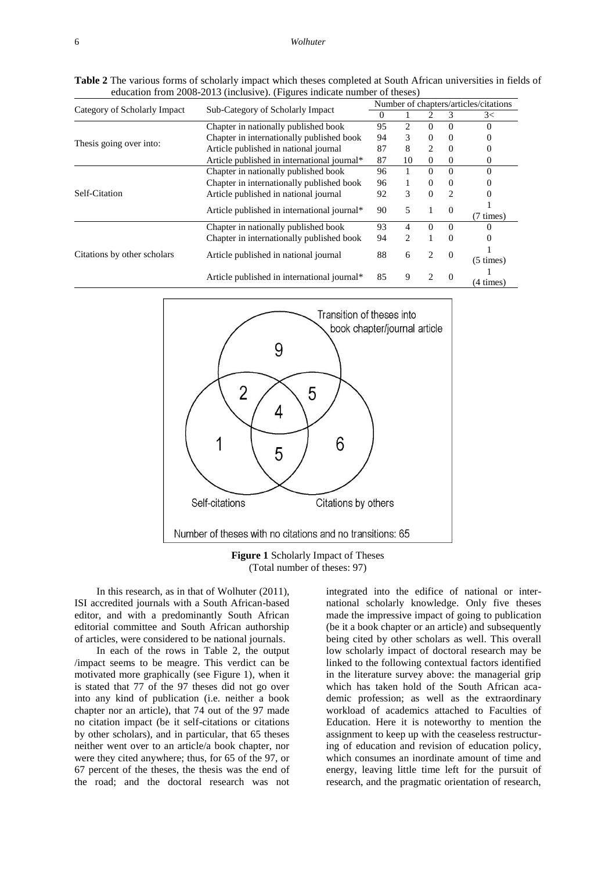**Table 2** The various forms of scholarly impact which theses completed at South African universities in fields of education from 2008-2013 (inclusive). (Figures indicate number of theses)

|                              | Sub-Category of Scholarly Impact            |    | Number of chapters/articles/citations |                             |                               |              |  |  |  |  |
|------------------------------|---------------------------------------------|----|---------------------------------------|-----------------------------|-------------------------------|--------------|--|--|--|--|
| Category of Scholarly Impact |                                             |    |                                       |                             | 3                             | 3<           |  |  |  |  |
|                              | Chapter in nationally published book        | 95 | 2                                     | $\Omega$                    | $\Omega$                      | 0            |  |  |  |  |
| Thesis going over into:      | Chapter in internationally published book   |    | 3                                     | $\Omega$                    | $\Omega$                      |              |  |  |  |  |
|                              | Article published in national journal       |    | 8                                     | 2                           | $\Omega$                      |              |  |  |  |  |
|                              | Article published in international journal* | 87 | 10                                    | $\theta$                    | $\Omega$                      | $_{0}$       |  |  |  |  |
| Self-Citation                | Chapter in nationally published book        | 96 |                                       | $\Omega$                    | $\Omega$                      | $\Omega$     |  |  |  |  |
|                              | Chapter in internationally published book   | 96 |                                       | $\Omega$                    | $\Omega$                      |              |  |  |  |  |
|                              | Article published in national journal       | 92 | 3                                     | $\Omega$                    | $\mathfrak{D}_{\mathfrak{p}}$ |              |  |  |  |  |
|                              | Article published in international journal* |    | 5                                     | 1                           | $\Omega$                      | $(7 \times)$ |  |  |  |  |
|                              | Chapter in nationally published book        | 93 | 4                                     | $\Omega$                    | $\Omega$                      |              |  |  |  |  |
| Citations by other scholars  | Chapter in internationally published book   | 94 | 2                                     | 1                           | $\Omega$                      |              |  |  |  |  |
|                              | Article published in national journal       | 88 | 6                                     | 2                           | $\Omega$                      | $(5 \times)$ |  |  |  |  |
|                              | Article published in international journal* | 85 | 9                                     | $\mathcal{D}_{\mathcal{A}}$ | $\Omega$                      | (4 times)    |  |  |  |  |



**Figure 1** Scholarly Impact of Theses (Total number of theses: 97)

In this research, as in that of Wolhuter (2011), ISI accredited journals with a South African-based editor, and with a predominantly South African editorial committee and South African authorship of articles, were considered to be national journals.

In each of the rows in Table 2, the output /impact seems to be meagre. This verdict can be motivated more graphically (see Figure 1), when it is stated that 77 of the 97 theses did not go over into any kind of publication (i.e. neither a book chapter nor an article), that 74 out of the 97 made no citation impact (be it self-citations or citations by other scholars), and in particular, that 65 theses neither went over to an article/a book chapter, nor were they cited anywhere; thus, for 65 of the 97, or 67 percent of the theses, the thesis was the end of the road; and the doctoral research was not

integrated into the edifice of national or international scholarly knowledge. Only five theses made the impressive impact of going to publication (be it a book chapter or an article) and subsequently being cited by other scholars as well. This overall low scholarly impact of doctoral research may be linked to the following contextual factors identified in the literature survey above: the managerial grip which has taken hold of the South African academic profession; as well as the extraordinary workload of academics attached to Faculties of Education. Here it is noteworthy to mention the assignment to keep up with the ceaseless restructuring of education and revision of education policy, which consumes an inordinate amount of time and energy, leaving little time left for the pursuit of research, and the pragmatic orientation of research,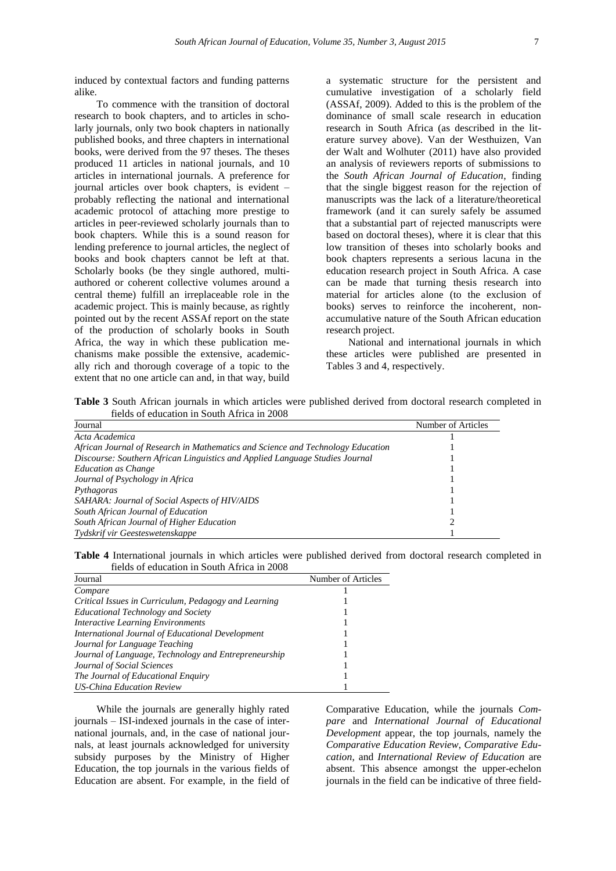induced by contextual factors and funding patterns alike.

To commence with the transition of doctoral research to book chapters, and to articles in scholarly journals, only two book chapters in nationally published books, and three chapters in international books, were derived from the 97 theses. The theses produced 11 articles in national journals, and 10 articles in international journals. A preference for journal articles over book chapters, is evident – probably reflecting the national and international academic protocol of attaching more prestige to articles in peer-reviewed scholarly journals than to book chapters. While this is a sound reason for lending preference to journal articles, the neglect of books and book chapters cannot be left at that. Scholarly books (be they single authored, multiauthored or coherent collective volumes around a central theme) fulfill an irreplaceable role in the academic project. This is mainly because, as rightly pointed out by the recent ASSAf report on the state of the production of scholarly books in South Africa, the way in which these publication mechanisms make possible the extensive, academically rich and thorough coverage of a topic to the extent that no one article can and, in that way, build

a systematic structure for the persistent and cumulative investigation of a scholarly field (ASSAf, 2009). Added to this is the problem of the dominance of small scale research in education research in South Africa (as described in the literature survey above). Van der Westhuizen, Van der Walt and Wolhuter (2011) have also provided an analysis of reviewers reports of submissions to the *South African Journal of Education*, finding that the single biggest reason for the rejection of manuscripts was the lack of a literature/theoretical framework (and it can surely safely be assumed that a substantial part of rejected manuscripts were based on doctoral theses), where it is clear that this low transition of theses into scholarly books and book chapters represents a serious lacuna in the education research project in South Africa. A case can be made that turning thesis research into material for articles alone (to the exclusion of books) serves to reinforce the incoherent, nonaccumulative nature of the South African education research project.

National and international journals in which these articles were published are presented in Tables 3 and 4, respectively.

**Table 3** South African journals in which articles were published derived from doctoral research completed in fields of education in South Africa in 2008

| Journal                                                                         | Number of Articles |
|---------------------------------------------------------------------------------|--------------------|
| Acta Academica                                                                  |                    |
| African Journal of Research in Mathematics and Science and Technology Education |                    |
| Discourse: Southern African Linguistics and Applied Language Studies Journal    |                    |
| <b>Education as Change</b>                                                      |                    |
| Journal of Psychology in Africa                                                 |                    |
| Pythagoras                                                                      |                    |
| SAHARA: Journal of Social Aspects of HIV/AIDS                                   |                    |
| South African Journal of Education                                              |                    |
| South African Journal of Higher Education                                       |                    |
| Tydskrif vir Geesteswetenskappe                                                 |                    |

**Table 4** International journals in which articles were published derived from doctoral research completed in fields of education in South Africa in 2008

| Journal                                              | Number of Articles |
|------------------------------------------------------|--------------------|
| Compare                                              |                    |
| Critical Issues in Curriculum, Pedagogy and Learning |                    |
| <b>Educational Technology and Society</b>            |                    |
| <b>Interactive Learning Environments</b>             |                    |
| International Journal of Educational Development     |                    |
| Journal for Language Teaching                        |                    |
| Journal of Language, Technology and Entrepreneurship |                    |
| Journal of Social Sciences                           |                    |
| The Journal of Educational Enquiry                   |                    |
| <b>US-China Education Review</b>                     |                    |

While the journals are generally highly rated journals – ISI-indexed journals in the case of international journals, and, in the case of national journals, at least journals acknowledged for university subsidy purposes by the Ministry of Higher Education, the top journals in the various fields of Education are absent. For example, in the field of Comparative Education, while the journals *Compare* and *International Journal of Educational Development* appear, the top journals, namely the *Comparative Education Review*, *Comparative Education*, and *International Review of Education* are absent. This absence amongst the upper-echelon journals in the field can be indicative of three field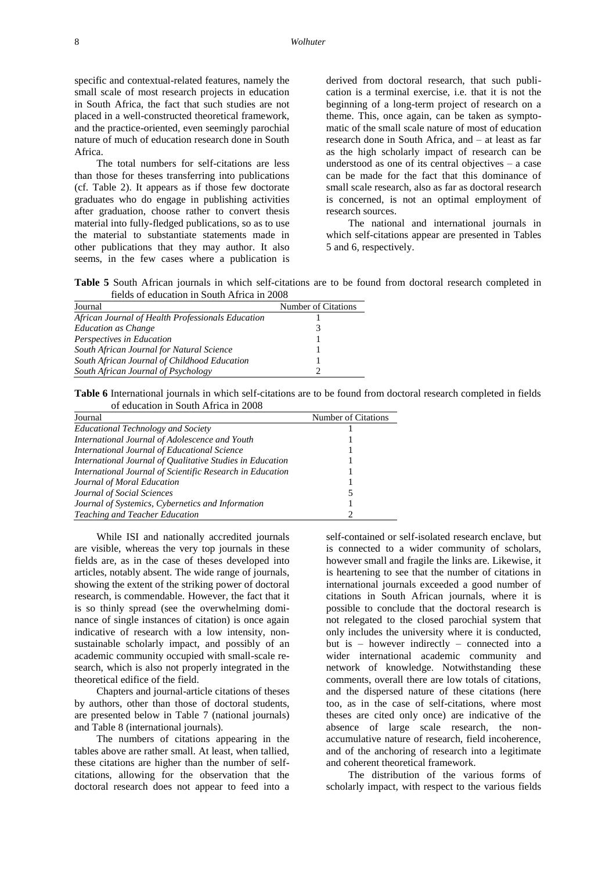specific and contextual-related features, namely the small scale of most research projects in education in South Africa, the fact that such studies are not placed in a well-constructed theoretical framework, and the practice-oriented, even seemingly parochial nature of much of education research done in South Africa.

The total numbers for self-citations are less than those for theses transferring into publications (cf. Table 2). It appears as if those few doctorate graduates who do engage in publishing activities after graduation, choose rather to convert thesis material into fully-fledged publications, so as to use the material to substantiate statements made in other publications that they may author. It also seems, in the few cases where a publication is

derived from doctoral research, that such publication is a terminal exercise, i.e. that it is not the beginning of a long-term project of research on a theme. This, once again, can be taken as symptomatic of the small scale nature of most of education research done in South Africa, and – at least as far as the high scholarly impact of research can be understood as one of its central objectives – a case can be made for the fact that this dominance of small scale research, also as far as doctoral research is concerned, is not an optimal employment of research sources.

The national and international journals in which self-citations appear are presented in Tables 5 and 6, respectively.

**Table 5** South African journals in which self-citations are to be found from doctoral research completed in fields of education in South Africa in 2008

| Journal                                           | Number of Citations |
|---------------------------------------------------|---------------------|
| African Journal of Health Professionals Education |                     |
| <b>Education as Change</b>                        |                     |
| Perspectives in Education                         |                     |
| South African Journal for Natural Science         |                     |
| South African Journal of Childhood Education      |                     |
| South African Journal of Psychology               |                     |

**Table 6** International journals in which self-citations are to be found from doctoral research completed in fields of education in South Africa in 2008

| Journal                                                   | Number of Citations |
|-----------------------------------------------------------|---------------------|
| <b>Educational Technology and Society</b>                 |                     |
| International Journal of Adolescence and Youth            |                     |
| International Journal of Educational Science              |                     |
| International Journal of Qualitative Studies in Education |                     |
| International Journal of Scientific Research in Education |                     |
| Journal of Moral Education                                |                     |
| Journal of Social Sciences                                |                     |
| Journal of Systemics, Cybernetics and Information         |                     |
| Teaching and Teacher Education                            |                     |

While ISI and nationally accredited journals are visible, whereas the very top journals in these fields are, as in the case of theses developed into articles, notably absent. The wide range of journals, showing the extent of the striking power of doctoral research, is commendable. However, the fact that it is so thinly spread (see the overwhelming dominance of single instances of citation) is once again indicative of research with a low intensity, nonsustainable scholarly impact, and possibly of an academic community occupied with small-scale research, which is also not properly integrated in the theoretical edifice of the field.

Chapters and journal-article citations of theses by authors, other than those of doctoral students, are presented below in Table 7 (national journals) and Table 8 (international journals).

The numbers of citations appearing in the tables above are rather small. At least, when tallied, these citations are higher than the number of selfcitations, allowing for the observation that the doctoral research does not appear to feed into a

self-contained or self-isolated research enclave, but is connected to a wider community of scholars, however small and fragile the links are. Likewise, it is heartening to see that the number of citations in international journals exceeded a good number of citations in South African journals, where it is possible to conclude that the doctoral research is not relegated to the closed parochial system that only includes the university where it is conducted, but is – however indirectly – connected into a wider international academic community and network of knowledge. Notwithstanding these comments, overall there are low totals of citations, and the dispersed nature of these citations (here too, as in the case of self-citations, where most theses are cited only once) are indicative of the absence of large scale research, the nonaccumulative nature of research, field incoherence, and of the anchoring of research into a legitimate and coherent theoretical framework.

The distribution of the various forms of scholarly impact, with respect to the various fields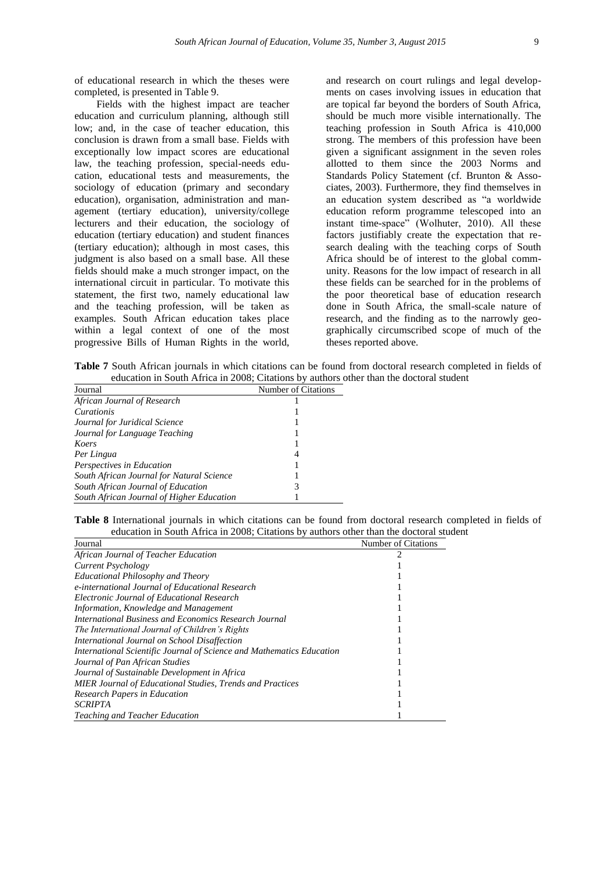of educational research in which the theses were completed, is presented in Table 9.

Fields with the highest impact are teacher education and curriculum planning, although still low; and, in the case of teacher education, this conclusion is drawn from a small base. Fields with exceptionally low impact scores are educational law, the teaching profession, special-needs education, educational tests and measurements, the sociology of education (primary and secondary education), organisation, administration and management (tertiary education), university/college lecturers and their education, the sociology of education (tertiary education) and student finances (tertiary education); although in most cases, this judgment is also based on a small base. All these fields should make a much stronger impact, on the international circuit in particular. To motivate this statement, the first two, namely educational law and the teaching profession, will be taken as examples. South African education takes place within a legal context of one of the most progressive Bills of Human Rights in the world,

and research on court rulings and legal developments on cases involving issues in education that are topical far beyond the borders of South Africa, should be much more visible internationally. The teaching profession in South Africa is 410,000 strong. The members of this profession have been given a significant assignment in the seven roles allotted to them since the 2003 Norms and Standards Policy Statement (cf. Brunton & Associates, 2003). Furthermore, they find themselves in an education system described as "a worldwide education reform programme telescoped into an instant time-space" (Wolhuter, 2010). All these factors justifiably create the expectation that research dealing with the teaching corps of South Africa should be of interest to the global community. Reasons for the low impact of research in all these fields can be searched for in the problems of the poor theoretical base of education research done in South Africa, the small-scale nature of research, and the finding as to the narrowly geographically circumscribed scope of much of the theses reported above.

**Table 7** South African journals in which citations can be found from doctoral research completed in fields of education in South Africa in 2008; Citations by authors other than the doctoral student

| Journal                                   | Number of Citations |
|-------------------------------------------|---------------------|
| African Journal of Research               |                     |
| Curationis                                |                     |
| Journal for Juridical Science             |                     |
| Journal for Language Teaching             |                     |
| Koers                                     |                     |
| Per Lingua                                | 4                   |
| Perspectives in Education                 |                     |
| South African Journal for Natural Science |                     |
| South African Journal of Education        | 3                   |
| South African Journal of Higher Education |                     |

**Table 8** International journals in which citations can be found from doctoral research completed in fields of education in South Africa in 2008; Citations by authors other than the doctoral student

| Journal                                                               | Number of Citations |
|-----------------------------------------------------------------------|---------------------|
| African Journal of Teacher Education                                  |                     |
| Current Psychology                                                    |                     |
| <b>Educational Philosophy and Theory</b>                              |                     |
| e-international Journal of Educational Research                       |                     |
| <b>Electronic Journal of Educational Research</b>                     |                     |
| Information, Knowledge and Management                                 |                     |
| International Business and Economics Research Journal                 |                     |
| The International Journal of Children's Rights                        |                     |
| International Journal on School Disaffection                          |                     |
| International Scientific Journal of Science and Mathematics Education |                     |
| Journal of Pan African Studies                                        |                     |
| Journal of Sustainable Development in Africa                          |                     |
| <b>MIER Journal of Educational Studies, Trends and Practices</b>      |                     |
| <b>Research Papers in Education</b>                                   |                     |
| <b>SCRIPTA</b>                                                        |                     |
| Teaching and Teacher Education                                        |                     |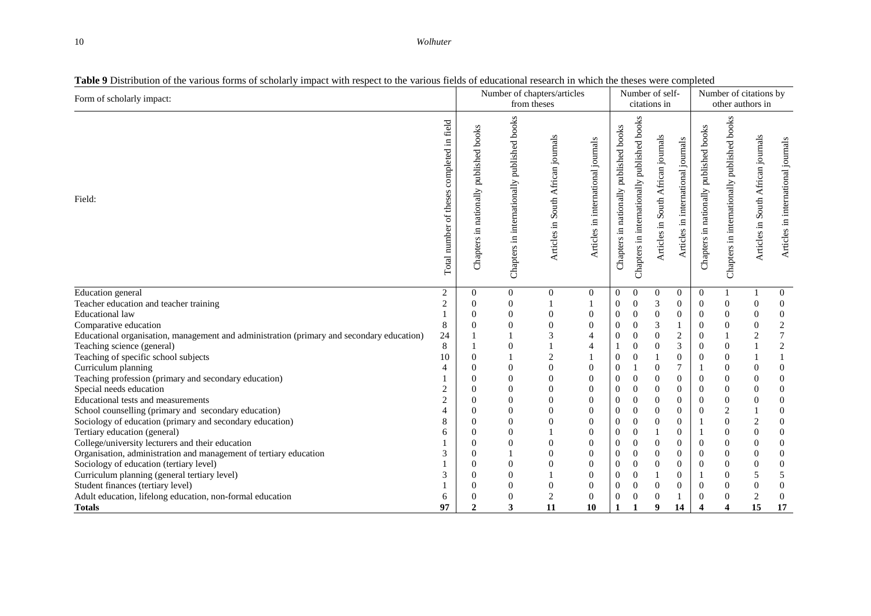#### 10 *Wolhuter*

| таже э влагочной от те таноиз тогны от зеймант пирает with гезреет то тие таноиз неказ от саасанонат гезеатей нг winen the theses were compreted<br>Form of scholarly impact: |                                                       | Number of chapters/articles<br>from theses |                                             |                                    | Number of self-<br>citations in    |                                           |                                             |                                    | Number of citations by<br>other authors in |                                        |                                             |                                    |                                    |
|-------------------------------------------------------------------------------------------------------------------------------------------------------------------------------|-------------------------------------------------------|--------------------------------------------|---------------------------------------------|------------------------------------|------------------------------------|-------------------------------------------|---------------------------------------------|------------------------------------|--------------------------------------------|----------------------------------------|---------------------------------------------|------------------------------------|------------------------------------|
| Field:                                                                                                                                                                        | in field<br>completed<br>theses<br>number of<br>Total | Chapters in nationally published books     | Chapters in internationally published books | Articles in South African journals | Articles in international journals | published books<br>Chapters in nationally | Chapters in internationally published books | Articles in South African journals | Articles in international journals         | Chapters in nationally published books | Chapters in internationally published books | Articles in South African journals | Articles in international journals |
| Education general                                                                                                                                                             | 2                                                     | $\boldsymbol{0}$                           | $\overline{0}$                              | 0                                  | $\mathbf{0}$                       | $\overline{0}$                            | $\theta$                                    | $\mathbf{0}$                       | $\overline{0}$                             | $\theta$                               |                                             |                                    | $\mathbf{0}$                       |
| Teacher education and teacher training                                                                                                                                        | 2                                                     | $\theta$                                   | $\Omega$                                    |                                    |                                    | $\theta$                                  | $\mathbf{0}$                                | 3                                  | $\mathbf{0}$                               | $\theta$                               | $\overline{0}$                              | $\overline{0}$                     | $\overline{0}$                     |
| <b>Educational</b> law                                                                                                                                                        |                                                       | $\overline{0}$                             | 0                                           | 0                                  | $\boldsymbol{0}$                   | $\boldsymbol{0}$                          | $\mathbf{0}$                                | $\mathbf{0}$                       | $\boldsymbol{0}$                           | $\theta$                               | $\theta$                                    | $\mathbf{0}$                       | $\boldsymbol{0}$                   |
| Comparative education                                                                                                                                                         | 8                                                     | $\theta$                                   | $\theta$                                    | $\overline{0}$                     | $\mathbf{0}$                       | $\mathbf{0}$                              | $\boldsymbol{0}$                            | $\ensuremath{\mathfrak{Z}}$        | $\mathbf{1}$                               | $\mathbf{0}$                           | $\mathbf{0}$                                | $\theta$                           | $\sqrt{2}$                         |
| Educational organisation, management and administration (primary and secondary education)                                                                                     | 24                                                    |                                            |                                             | 3                                  | $\overline{4}$                     | $\mathbf{0}$                              | $\boldsymbol{0}$                            | $\mathbf{0}$                       | $\overline{c}$                             | $\mathbf{0}$                           |                                             | $\overline{2}$                     | $\sqrt{ }$                         |
| Teaching science (general)                                                                                                                                                    | 8                                                     |                                            | $\overline{0}$                              |                                    | $\overline{4}$                     | -1                                        | $\overline{0}$                              | $\theta$                           | 3                                          | $\boldsymbol{0}$                       | $\mathbf{0}$                                |                                    | $\sqrt{2}$                         |
| Teaching of specific school subjects                                                                                                                                          | 10                                                    | $\boldsymbol{0}$                           |                                             | $\sqrt{2}$                         |                                    | 0                                         | $\overline{0}$                              |                                    | $\boldsymbol{0}$                           | $\boldsymbol{0}$                       | $\boldsymbol{0}$                            |                                    |                                    |
| Curriculum planning                                                                                                                                                           | 4                                                     | $\overline{0}$                             | $\theta$                                    | $\boldsymbol{0}$                   | $\boldsymbol{0}$                   | $\boldsymbol{0}$                          |                                             | $\boldsymbol{0}$                   | 7                                          | $\mathbf{1}$                           | $\boldsymbol{0}$                            | $\mathbf{0}$                       | $\mathbf{0}$                       |
| Teaching profession (primary and secondary education)                                                                                                                         |                                                       | $\boldsymbol{0}$                           | $\theta$                                    | $\boldsymbol{0}$                   | $\boldsymbol{0}$                   | $\mathbf{0}$                              | $\boldsymbol{0}$                            | $\boldsymbol{0}$                   | $\boldsymbol{0}$                           | $\overline{0}$                         | 0                                           | $\mathbf{0}$                       | $\mathbf{0}$                       |
| Special needs education                                                                                                                                                       | 2                                                     | $\overline{0}$                             | $\theta$                                    | $\overline{0}$                     | $\overline{0}$                     | $\boldsymbol{0}$                          | $\mathbf{0}$                                | $\theta$                           | $\overline{0}$                             | $\mathbf{0}$                           | $\overline{0}$                              | $\overline{0}$                     | $\overline{0}$                     |
| Educational tests and measurements                                                                                                                                            | $\overline{c}$                                        | $\theta$                                   | $\Omega$                                    | $\overline{0}$                     | $\theta$                           | $\mathbf{0}$                              | $\mathbf{0}$                                | $\theta$                           | $\overline{0}$                             | $\mathbf{0}$                           | $\overline{0}$                              | $\theta$                           | $\overline{0}$                     |
| School counselling (primary and secondary education)                                                                                                                          | 4                                                     | $\theta$                                   | $\theta$                                    | $\overline{0}$                     | $\overline{0}$                     | $\mathbf{0}$                              | $\mathbf{0}$                                | $\theta$                           | $\overline{0}$                             | $\mathbf{0}$                           | $\overline{2}$                              |                                    | $\mathbf{0}$                       |
| Sociology of education (primary and secondary education)                                                                                                                      | 8                                                     | $\boldsymbol{0}$                           |                                             | $\boldsymbol{0}$                   | $\mathbf{0}$                       | $\boldsymbol{0}$                          | $\boldsymbol{0}$                            | $\boldsymbol{0}$                   | $\overline{0}$                             | 1                                      | $\boldsymbol{0}$                            | $\mathbf{2}$                       | $\boldsymbol{0}$                   |
| Tertiary education (general)                                                                                                                                                  | 6                                                     | $\boldsymbol{0}$                           |                                             |                                    | $\overline{0}$                     | $\boldsymbol{0}$                          | $\boldsymbol{0}$                            |                                    | $\boldsymbol{0}$                           | 1                                      | 0                                           | $\mathbf{0}$                       | $\boldsymbol{0}$                   |
| College/university lecturers and their education                                                                                                                              |                                                       | $\overline{0}$                             |                                             | $\overline{0}$                     | $\overline{0}$                     | $\boldsymbol{0}$                          | $\overline{0}$                              | $\theta$                           | $\overline{0}$                             | $\theta$                               | $\mathbf{0}$                                | $\overline{0}$                     | $\overline{0}$                     |
| Organisation, administration and management of tertiary education                                                                                                             | 3                                                     | $\theta$                                   |                                             | $\theta$                           | $\mathbf{0}$                       | $\boldsymbol{0}$                          | $\theta$                                    | $\theta$                           | $\overline{0}$                             | $\mathbf{0}$                           | $\overline{0}$                              | $\theta$                           | $\mathbf{0}$                       |
| Sociology of education (tertiary level)                                                                                                                                       |                                                       | $\theta$                                   | $\theta$                                    | $\overline{0}$                     | $\boldsymbol{0}$                   | $\boldsymbol{0}$                          | $\boldsymbol{0}$                            | $\overline{0}$                     | $\overline{0}$                             | $\mathbf{0}$                           | $\overline{0}$                              | $\overline{0}$                     | $\overline{0}$                     |
| Curriculum planning (general tertiary level)                                                                                                                                  | 3                                                     | $\overline{0}$                             | $\Omega$                                    |                                    | $\boldsymbol{0}$                   | $\boldsymbol{0}$                          | $\mathbf{0}$                                |                                    | $\boldsymbol{0}$                           | 1                                      | $\mathbf{0}$                                | 5                                  | 5                                  |
| Student finances (tertiary level)                                                                                                                                             |                                                       | $\Omega$                                   | $\Omega$                                    | $\mathbf{0}$                       | $\theta$                           | $\mathbf{0}$                              | $\mathbf{0}$                                | $\Omega$                           | $\Omega$                                   | $\theta$                               | $\Omega$                                    | $\overline{0}$                     | $\overline{0}$                     |
| Adult education, lifelong education, non-formal education                                                                                                                     | 6<br>97                                               | $\theta$<br>$\overline{c}$                 | $\theta$<br>3                               | $\mathbf{2}$                       | $\mathbf{0}$                       | $\mathbf{0}$                              | $\boldsymbol{0}$<br>$\mathbf{1}$            | $\boldsymbol{0}$                   |                                            | $\theta$<br>$\boldsymbol{\Delta}$      | $\overline{0}$<br>$\overline{\mathbf{A}}$   | $\overline{2}$                     | $\boldsymbol{0}$                   |
| <b>Totals</b>                                                                                                                                                                 |                                                       |                                            |                                             | 11                                 | 10                                 | 1                                         |                                             | 9                                  | 14                                         |                                        |                                             | 15                                 | 17                                 |

## **Table 9** Distribution of the various forms of scholarly impact with respect to the various fields of educational research in which the theses were completed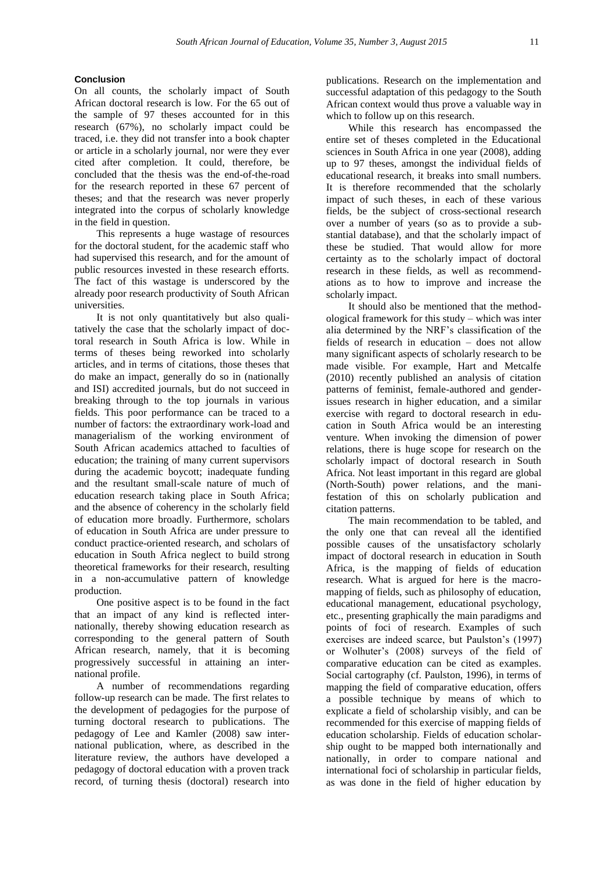## **Conclusion**

On all counts, the scholarly impact of South African doctoral research is low. For the 65 out of the sample of 97 theses accounted for in this research (67%), no scholarly impact could be traced, i.e. they did not transfer into a book chapter or article in a scholarly journal, nor were they ever cited after completion. It could, therefore, be concluded that the thesis was the end-of-the-road for the research reported in these 67 percent of theses; and that the research was never properly integrated into the corpus of scholarly knowledge in the field in question.

This represents a huge wastage of resources for the doctoral student, for the academic staff who had supervised this research, and for the amount of public resources invested in these research efforts. The fact of this wastage is underscored by the already poor research productivity of South African universities.

It is not only quantitatively but also qualitatively the case that the scholarly impact of doctoral research in South Africa is low. While in terms of theses being reworked into scholarly articles, and in terms of citations, those theses that do make an impact, generally do so in (nationally and ISI) accredited journals, but do not succeed in breaking through to the top journals in various fields. This poor performance can be traced to a number of factors: the extraordinary work-load and managerialism of the working environment of South African academics attached to faculties of education; the training of many current supervisors during the academic boycott; inadequate funding and the resultant small-scale nature of much of education research taking place in South Africa; and the absence of coherency in the scholarly field of education more broadly. Furthermore, scholars of education in South Africa are under pressure to conduct practice-oriented research, and scholars of education in South Africa neglect to build strong theoretical frameworks for their research, resulting in a non-accumulative pattern of knowledge production.

One positive aspect is to be found in the fact that an impact of any kind is reflected internationally, thereby showing education research as corresponding to the general pattern of South African research, namely, that it is becoming progressively successful in attaining an international profile.

A number of recommendations regarding follow-up research can be made. The first relates to the development of pedagogies for the purpose of turning doctoral research to publications. The pedagogy of Lee and Kamler (2008) saw international publication, where, as described in the literature review, the authors have developed a pedagogy of doctoral education with a proven track record, of turning thesis (doctoral) research into

publications. Research on the implementation and successful adaptation of this pedagogy to the South African context would thus prove a valuable way in which to follow up on this research.

While this research has encompassed the entire set of theses completed in the Educational sciences in South Africa in one year (2008), adding up to 97 theses, amongst the individual fields of educational research, it breaks into small numbers. It is therefore recommended that the scholarly impact of such theses, in each of these various fields, be the subject of cross-sectional research over a number of years (so as to provide a substantial database), and that the scholarly impact of these be studied. That would allow for more certainty as to the scholarly impact of doctoral research in these fields, as well as recommendations as to how to improve and increase the scholarly impact.

It should also be mentioned that the methodological framework for this study – which was inter alia determined by the NRF's classification of the fields of research in education – does not allow many significant aspects of scholarly research to be made visible. For example, Hart and Metcalfe (2010) recently published an analysis of citation patterns of feminist, female-authored and genderissues research in higher education, and a similar exercise with regard to doctoral research in education in South Africa would be an interesting venture. When invoking the dimension of power relations, there is huge scope for research on the scholarly impact of doctoral research in South Africa. Not least important in this regard are global (North-South) power relations, and the manifestation of this on scholarly publication and citation patterns.

The main recommendation to be tabled, and the only one that can reveal all the identified possible causes of the unsatisfactory scholarly impact of doctoral research in education in South Africa, is the mapping of fields of education research. What is argued for here is the macromapping of fields, such as philosophy of education, educational management, educational psychology, etc., presenting graphically the main paradigms and points of foci of research. Examples of such exercises are indeed scarce, but Paulston's (1997) or Wolhuter's (2008) surveys of the field of comparative education can be cited as examples. Social cartography (cf. Paulston, 1996), in terms of mapping the field of comparative education, offers a possible technique by means of which to explicate a field of scholarship visibly, and can be recommended for this exercise of mapping fields of education scholarship. Fields of education scholarship ought to be mapped both internationally and nationally, in order to compare national and international foci of scholarship in particular fields, as was done in the field of higher education by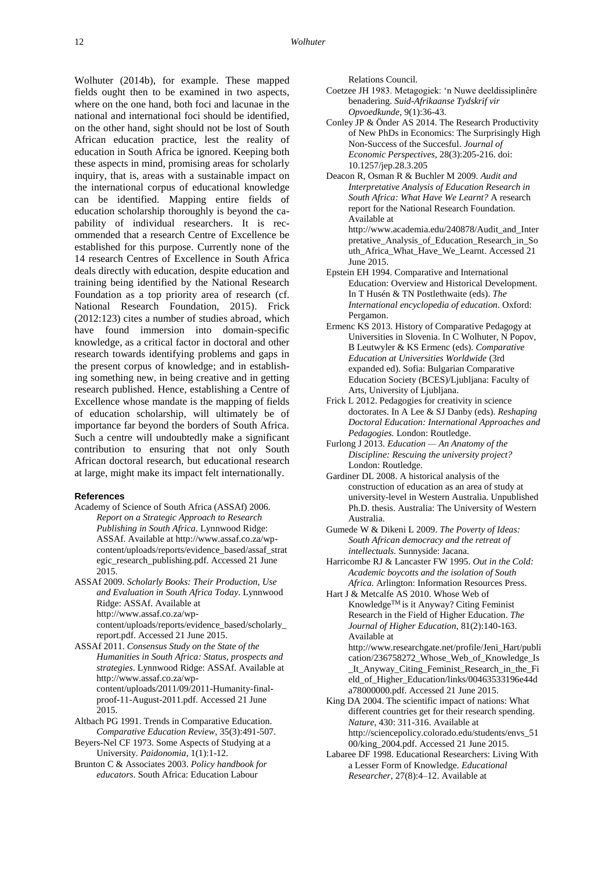Wolhuter (2014b), for example. These mapped fields ought then to be examined in two aspects, where on the one hand, both foci and lacunae in the national and international foci should be identified, on the other hand, sight should not be lost of South African education practice, lest the reality of education in South Africa be ignored. Keeping both these aspects in mind, promising areas for scholarly inquiry, that is, areas with a sustainable impact on the international corpus of educational knowledge can be identified. Mapping entire fields of education scholarship thoroughly is beyond the capability of individual researchers. It is recommended that a research Centre of Excellence be established for this purpose. Currently none of the 14 research Centres of Excellence in South Africa deals directly with education, despite education and training being identified by the National Research Foundation as a top priority area of research (cf. National Research Foundation, 2015). Frick (2012:123) cites a number of studies abroad, which have found immersion into domain-specific knowledge, as a critical factor in doctoral and other research towards identifying problems and gaps in the present corpus of knowledge; and in establishing something new, in being creative and in getting research published. Hence, establishing a Centre of Excellence whose mandate is the mapping of fields of education scholarship, will ultimately be of importance far beyond the borders of South Africa. Such a centre will undoubtedly make a significant contribution to ensuring that not only South African doctoral research, but educational research at large, might make its impact felt internationally.

## **References**

- Academy of Science of South Africa (ASSAf) 2006. *Report on a Strategic Approach to Research Publishing in South Africa*. Lynnwood Ridge: ASSAf. Available at [http://www.assaf.co.za/wp](http://www.assaf.co.za/wp-content/uploads/reports/evidence_based/assaf_strategic_research_publishing.pdf)[content/uploads/reports/evidence\\_based/assaf\\_strat](http://www.assaf.co.za/wp-content/uploads/reports/evidence_based/assaf_strategic_research_publishing.pdf) [egic\\_research\\_publishing.pdf.](http://www.assaf.co.za/wp-content/uploads/reports/evidence_based/assaf_strategic_research_publishing.pdf) Accessed 21 June 2015.
- ASSAf 2009. *Scholarly Books: Their Production, Use and Evaluation in South Africa Today*. Lynnwood Ridge: ASSAf. Available at [http://www.assaf.co.za/wp](http://www.assaf.co.za/wp-content/uploads/reports/evidence_based/scholarly_report.pdf)[content/uploads/reports/evidence\\_based/scholarly\\_](http://www.assaf.co.za/wp-content/uploads/reports/evidence_based/scholarly_report.pdf) [report.pdf.](http://www.assaf.co.za/wp-content/uploads/reports/evidence_based/scholarly_report.pdf) Accessed 21 June 2015.
- ASSAf 2011. *Consensus Study on the State of the Humanities in South Africa: Status, prospects and strategies*. Lynnwood Ridge: ASSAf. Available at [http://www.assaf.co.za/wp](http://www.assaf.co.za/wp-content/uploads/2011/09/2011-Humanity-final-proof-11-August-2011.pdf)[content/uploads/2011/09/2011-Humanity-final](http://www.assaf.co.za/wp-content/uploads/2011/09/2011-Humanity-final-proof-11-August-2011.pdf)[proof-11-August-2011.pdf.](http://www.assaf.co.za/wp-content/uploads/2011/09/2011-Humanity-final-proof-11-August-2011.pdf) Accessed 21 June 2015.
- Altbach PG 1991. Trends in Comparative Education. *Comparative Education Review*, 35(3):491-507.
- Beyers-Nel CF 1973. Some Aspects of Studying at a University. *Paidonomia*, 1(1):1-12.
- Brunton C & Associates 2003. *Policy handbook for educators*. South Africa: Education Labour

Relations Council.

- Coetzee JH 1983. Metagogiek: 'n Nuwe deeldissiplinêre benadering. *Suid-Afrikaanse Tydskrif vir Opvoedkunde*, 9(1):36-43.
- Conley JP & Önder AS 2014. The Research Productivity of New PhDs in Economics: The Surprisingly High Non-Success of the Succesful. *Journal of Economic Perspectives*, 28(3):205-216. [doi:](http://pubs.aeaweb.org/doi/pdfplus/10.1257/jep.28.3.205)  [10.1257/jep.28.3.205](http://pubs.aeaweb.org/doi/pdfplus/10.1257/jep.28.3.205)
- Deacon R, Osman R & Buchler M 2009. *Audit and Interpretative Analysis of Education Research in South Africa: What Have We Learnt?* A research report for the National Research Foundation. Available at [http://www.academia.edu/240878/Audit\\_and\\_Inter](http://www.academia.edu/240878/Audit_and_Interpretative_Analysis_of_Education_Research_in_South_Africa_What_Have_We_Learnt) [pretative\\_Analysis\\_of\\_Education\\_Research\\_in\\_So](http://www.academia.edu/240878/Audit_and_Interpretative_Analysis_of_Education_Research_in_South_Africa_What_Have_We_Learnt) [uth\\_Africa\\_What\\_Have\\_We\\_Learnt.](http://www.academia.edu/240878/Audit_and_Interpretative_Analysis_of_Education_Research_in_South_Africa_What_Have_We_Learnt) Accessed 21 June 2015.
- Epstein EH 1994. Comparative and International Education: Overview and Historical Development. In T Husén & TN Postlethwaite (eds). *The International encyclopedia of education*. Oxford: Pergamon.
- Ermenc KS 2013. History of Comparative Pedagogy at Universities in Slovenia. In C Wolhuter, N Popov, B Leutwyler & KS Ermenc (eds). *Comparative Education at Universities Worldwide* (3rd expanded ed). Sofia: Bulgarian Comparative Education Society (BCES)/Ljubljana: Faculty of Arts, University of Ljubljana.
- Frick L 2012. Pedagogies for creativity in science doctorates. In A Lee & SJ Danby (eds). *Reshaping Doctoral Education: International Approaches and Pedagogies.* London: Routledge.
- Furlong J 2013. *Education — An Anatomy of the Discipline: Rescuing the university project?* London: Routledge.
- Gardiner DL 2008. A historical analysis of the construction of education as an area of study at university-level in Western Australia. Unpublished Ph.D. thesis. Australia: The University of Western Australia.
- Gumede W & Dikeni L 2009. *The Poverty of Ideas: South African democracy and the retreat of intellectuals.* Sunnyside: Jacana.
- Harricombe RJ & Lancaster FW 1995. *Out in the Cold: Academic boycotts and the isolation of South Africa.* Arlington: Information Resources Press.
- Hart J & Metcalfe AS 2010. Whose Web of KnowledgeTM is it Anyway? Citing Feminist Research in the Field of Higher Education. *The Journal of Higher Education*, 81(2):140-163. Available at
	- [http://www.researchgate.net/profile/Jeni\\_Hart/publi](http://www.researchgate.net/profile/Jeni_Hart/publication/236758272_Whose_Web_of_Knowledge_Is_It_Anyway_Citing_Feminist_Research_in_the_Field_of_Higher_Education/links/00463533196e44da78000000.pdf) [cation/236758272\\_Whose\\_Web\\_of\\_Knowledge\\_Is](http://www.researchgate.net/profile/Jeni_Hart/publication/236758272_Whose_Web_of_Knowledge_Is_It_Anyway_Citing_Feminist_Research_in_the_Field_of_Higher_Education/links/00463533196e44da78000000.pdf) [\\_It\\_Anyway\\_Citing\\_Feminist\\_Research\\_in\\_the\\_Fi](http://www.researchgate.net/profile/Jeni_Hart/publication/236758272_Whose_Web_of_Knowledge_Is_It_Anyway_Citing_Feminist_Research_in_the_Field_of_Higher_Education/links/00463533196e44da78000000.pdf) [eld\\_of\\_Higher\\_Education/links/00463533196e44d](http://www.researchgate.net/profile/Jeni_Hart/publication/236758272_Whose_Web_of_Knowledge_Is_It_Anyway_Citing_Feminist_Research_in_the_Field_of_Higher_Education/links/00463533196e44da78000000.pdf) [a78000000.pdf.](http://www.researchgate.net/profile/Jeni_Hart/publication/236758272_Whose_Web_of_Knowledge_Is_It_Anyway_Citing_Feminist_Research_in_the_Field_of_Higher_Education/links/00463533196e44da78000000.pdf) Accessed 21 June 2015.
- King DA 2004. The scientific impact of nations: What different countries get for their research spending. *Nature*, 430: 311-316. Available at [http://sciencepolicy.colorado.edu/students/envs\\_51](http://sciencepolicy.colorado.edu/students/envs_5100/king_2004.pdf) [00/king\\_2004.pdf.](http://sciencepolicy.colorado.edu/students/envs_5100/king_2004.pdf) Accessed 21 June 2015.
- Labaree DF 1998. Educational Researchers: Living With a Lesser Form of Knowledge. *Educational Researcher*, 27(8):4–12. Available at